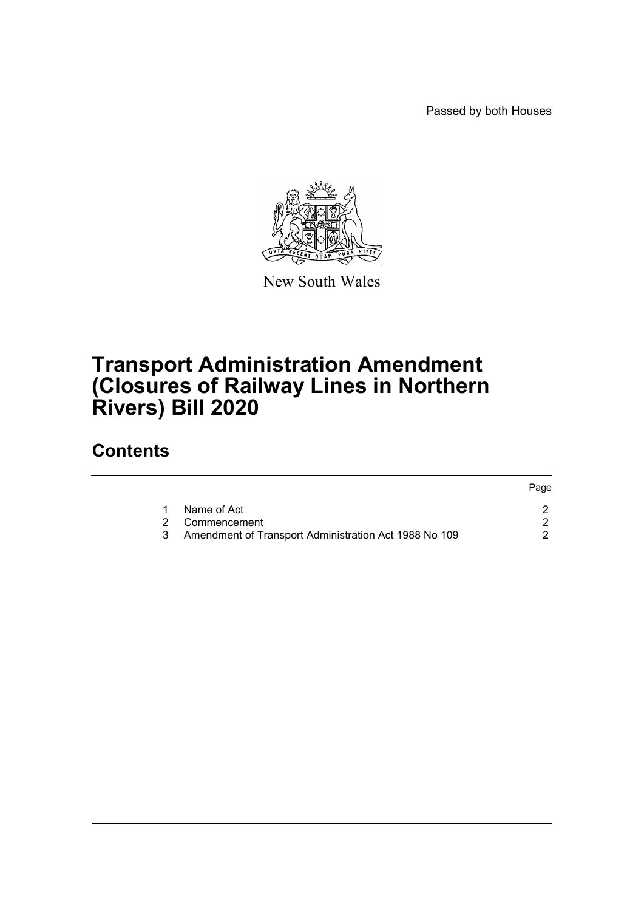Passed by both Houses



New South Wales

## **Transport Administration Amendment (Closures of Railway Lines in Northern Rivers) Bill 2020**

## **Contents**

|                                                       | Page |
|-------------------------------------------------------|------|
| Name of Act                                           |      |
| 2 Commencement                                        |      |
| Amendment of Transport Administration Act 1988 No 109 |      |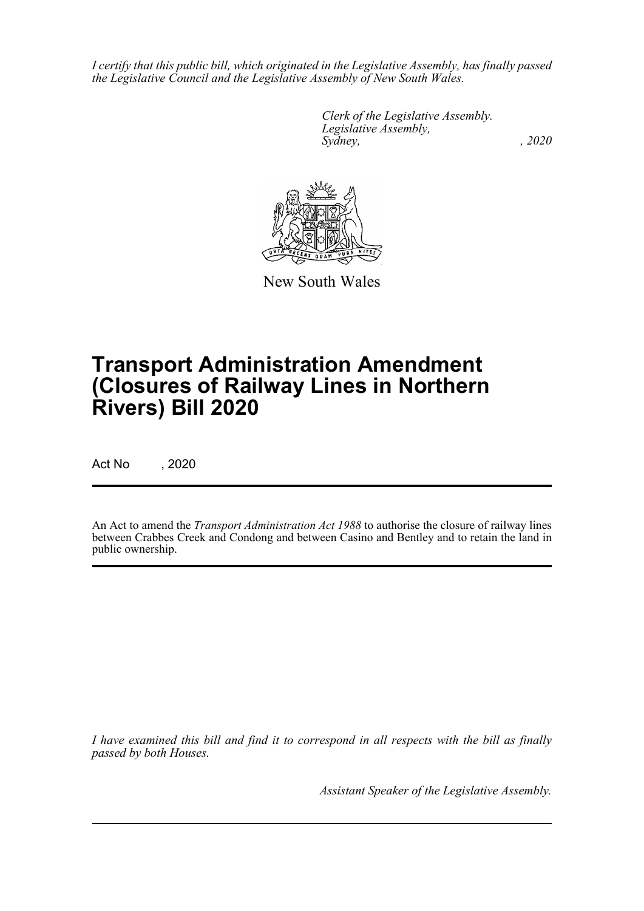*I certify that this public bill, which originated in the Legislative Assembly, has finally passed the Legislative Council and the Legislative Assembly of New South Wales.*

> *Clerk of the Legislative Assembly. Legislative Assembly, Sydney, , 2020*



New South Wales

# **Transport Administration Amendment (Closures of Railway Lines in Northern Rivers) Bill 2020**

Act No , 2020

An Act to amend the *Transport Administration Act 1988* to authorise the closure of railway lines between Crabbes Creek and Condong and between Casino and Bentley and to retain the land in public ownership.

*I have examined this bill and find it to correspond in all respects with the bill as finally passed by both Houses.*

*Assistant Speaker of the Legislative Assembly.*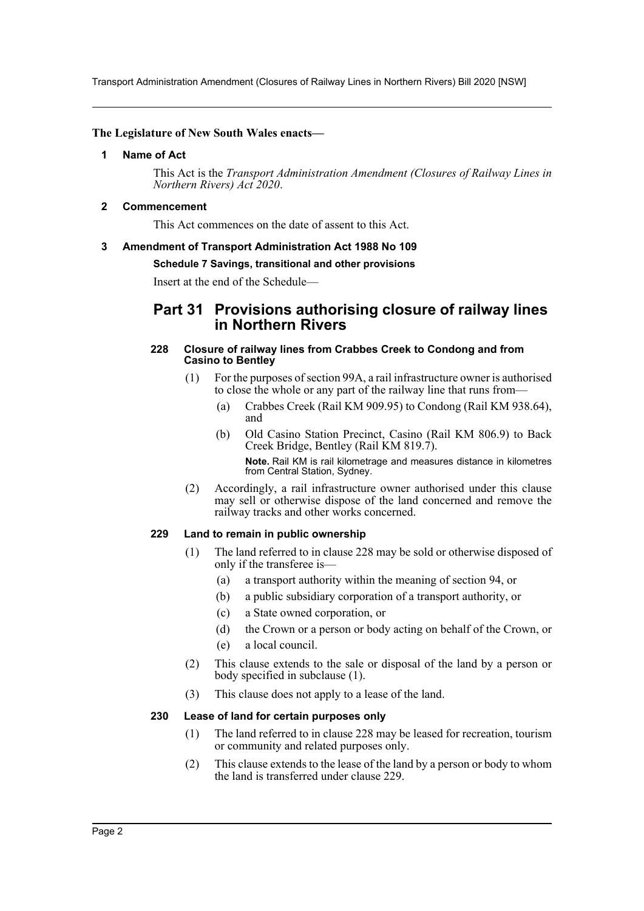Transport Administration Amendment (Closures of Railway Lines in Northern Rivers) Bill 2020 [NSW]

#### <span id="page-2-0"></span>**The Legislature of New South Wales enacts—**

#### **1 Name of Act**

This Act is the *Transport Administration Amendment (Closures of Railway Lines in Northern Rivers) Act 2020*.

#### <span id="page-2-1"></span>**2 Commencement**

This Act commences on the date of assent to this Act.

#### <span id="page-2-2"></span>**3 Amendment of Transport Administration Act 1988 No 109**

#### **Schedule 7 Savings, transitional and other provisions**

Insert at the end of the Schedule—

### **Part 31 Provisions authorising closure of railway lines in Northern Rivers**

#### **228 Closure of railway lines from Crabbes Creek to Condong and from Casino to Bentley**

- (1) For the purposes of section 99A, a rail infrastructure owner is authorised to close the whole or any part of the railway line that runs from—
	- (a) Crabbes Creek (Rail KM 909.95) to Condong (Rail KM 938.64), and
	- (b) Old Casino Station Precinct, Casino (Rail KM 806.9) to Back Creek Bridge, Bentley (Rail KM 819.7). **Note.** Rail KM is rail kilometrage and measures distance in kilometres from Central Station, Sydney.
- (2) Accordingly, a rail infrastructure owner authorised under this clause may sell or otherwise dispose of the land concerned and remove the railway tracks and other works concerned.

#### **229 Land to remain in public ownership**

- (1) The land referred to in clause 228 may be sold or otherwise disposed of only if the transferee is—
	- (a) a transport authority within the meaning of section 94, or
	- (b) a public subsidiary corporation of a transport authority, or
	- (c) a State owned corporation, or
	- (d) the Crown or a person or body acting on behalf of the Crown, or
	- (e) a local council.
- (2) This clause extends to the sale or disposal of the land by a person or body specified in subclause (1).
- (3) This clause does not apply to a lease of the land.

#### **230 Lease of land for certain purposes only**

- (1) The land referred to in clause 228 may be leased for recreation, tourism or community and related purposes only.
- (2) This clause extends to the lease of the land by a person or body to whom the land is transferred under clause 229.